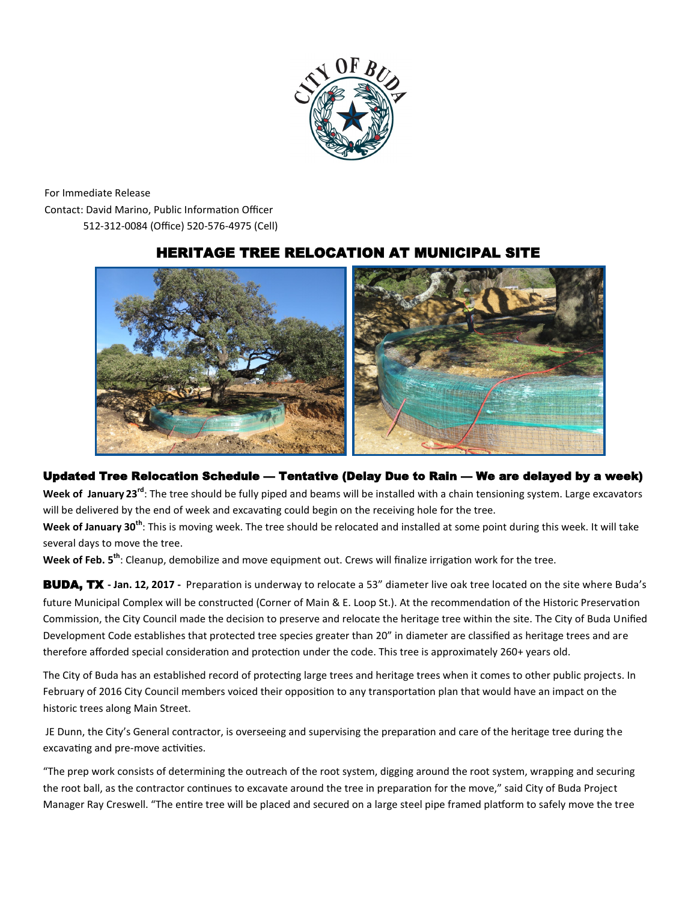

For Immediate Release Contact: David Marino, Public Information Officer 512-312-0084 (Office) 520-576-4975 (Cell)

## HERITAGE TREE RELOCATION AT MUNICIPAL SITE



## Updated Tree Relocation Schedule — Tentative (Delay Due to Rain — We are delayed by a week)

**Week of January 23rd**: The tree should be fully piped and beams will be installed with a chain tensioning system. Large excavators will be delivered by the end of week and excavating could begin on the receiving hole for the tree.

**Week of January 30th**: This is moving week. The tree should be relocated and installed at some point during this week. It will take several days to move the tree.

**Week of Feb. 5th**: Cleanup, demobilize and move equipment out. Crews will finalize irrigation work for the tree.

BUDA, TX **- Jan. 12, 2017 -** Preparation is underway to relocate a 53" diameter live oak tree located on the site where Buda's future Municipal Complex will be constructed (Corner of Main & E. Loop St.). At the recommendation of the Historic Preservation Commission, the City Council made the decision to preserve and relocate the heritage tree within the site. The City of Buda Unified Development Code establishes that protected tree species greater than 20" in diameter are classified as heritage trees and are therefore afforded special consideration and protection under the code. This tree is approximately 260+ years old.

The City of Buda has an established record of protecting large trees and heritage trees when it comes to other public projects. In February of 2016 City Council members voiced their opposition to any transportation plan that would have an impact on the historic trees along Main Street.

JE Dunn, the City's General contractor, is overseeing and supervising the preparation and care of the heritage tree during the excavating and pre-move activities.

"The prep work consists of determining the outreach of the root system, digging around the root system, wrapping and securing the root ball, as the contractor continues to excavate around the tree in preparation for the move," said City of Buda Project Manager Ray Creswell. "The entire tree will be placed and secured on a large steel pipe framed platform to safely move the tree